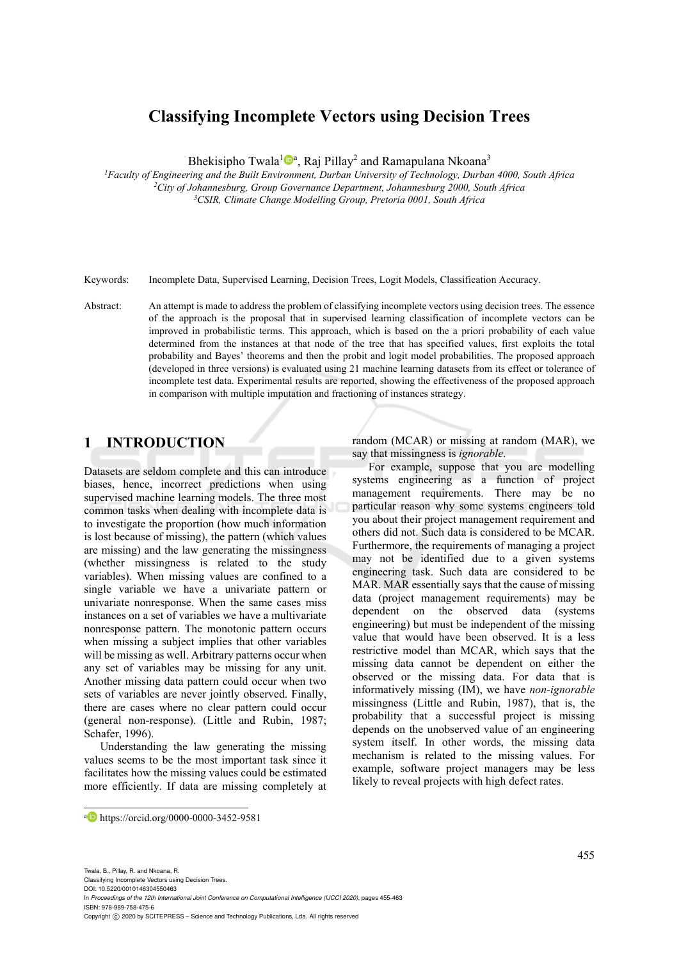# **Classifying Incomplete Vectors using Decision Trees**

Bhekisipho Twala<sup>1</sup><sup>D</sup><sup>a</sup>, Raj Pillay<sup>2</sup> and Ramapulana Nkoana<sup>3</sup>

<sup>1</sup>Faculty of Engineering and the Built Environment, Durban University of Technology, Durban 4000, South Africa<br><sup>2</sup>City of Johannesburg, Group Governance Department, Johannesburg 2000, South Africa<sup>3</sup>CsslR, Climate Change

Keywords: Incomplete Data, Supervised Learning, Decision Trees, Logit Models, Classification Accuracy.

Abstract: An attempt is made to address the problem of classifying incomplete vectors using decision trees. The essence of the approach is the proposal that in supervised learning classification of incomplete vectors can be improved in probabilistic terms. This approach, which is based on the a priori probability of each value determined from the instances at that node of the tree that has specified values, first exploits the total probability and Bayes' theorems and then the probit and logit model probabilities. The proposed approach (developed in three versions) is evaluated using 21 machine learning datasets from its effect or tolerance of incomplete test data. Experimental results are reported, showing the effectiveness of the proposed approach in comparison with multiple imputation and fractioning of instances strategy.

# **1 INTRODUCTION**

Datasets are seldom complete and this can introduce biases, hence, incorrect predictions when using supervised machine learning models. The three most common tasks when dealing with incomplete data is to investigate the proportion (how much information is lost because of missing), the pattern (which values are missing) and the law generating the missingness (whether missingness is related to the study variables). When missing values are confined to a single variable we have a univariate pattern or univariate nonresponse. When the same cases miss instances on a set of variables we have a multivariate nonresponse pattern. The monotonic pattern occurs when missing a subject implies that other variables will be missing as well. Arbitrary patterns occur when any set of variables may be missing for any unit. Another missing data pattern could occur when two sets of variables are never jointly observed. Finally, there are cases where no clear pattern could occur (general non-response). (Little and Rubin, 1987; Schafer, 1996).

Understanding the law generating the missing values seems to be the most important task since it facilitates how the missing values could be estimated more efficiently. If data are missing completely at random (MCAR) or missing at random (MAR), we say that missingness is *ignorable*.

For example, suppose that you are modelling systems engineering as a function of project management requirements. There may be no particular reason why some systems engineers told you about their project management requirement and others did not. Such data is considered to be MCAR. Furthermore, the requirements of managing a project may not be identified due to a given systems engineering task. Such data are considered to be MAR. MAR essentially says that the cause of missing data (project management requirements) may be dependent on the observed data (systems engineering) but must be independent of the missing value that would have been observed. It is a less restrictive model than MCAR, which says that the missing data cannot be dependent on either the observed or the missing data. For data that is informatively missing (IM), we have *non-ignorable*  missingness (Little and Rubin, 1987), that is, the probability that a successful project is missing depends on the unobserved value of an engineering system itself. In other words, the missing data mechanism is related to the missing values. For example, software project managers may be less likely to reveal projects with high defect rates.

 $\overline{a}$ 

a https://orcid.org/0000-0000-3452-9581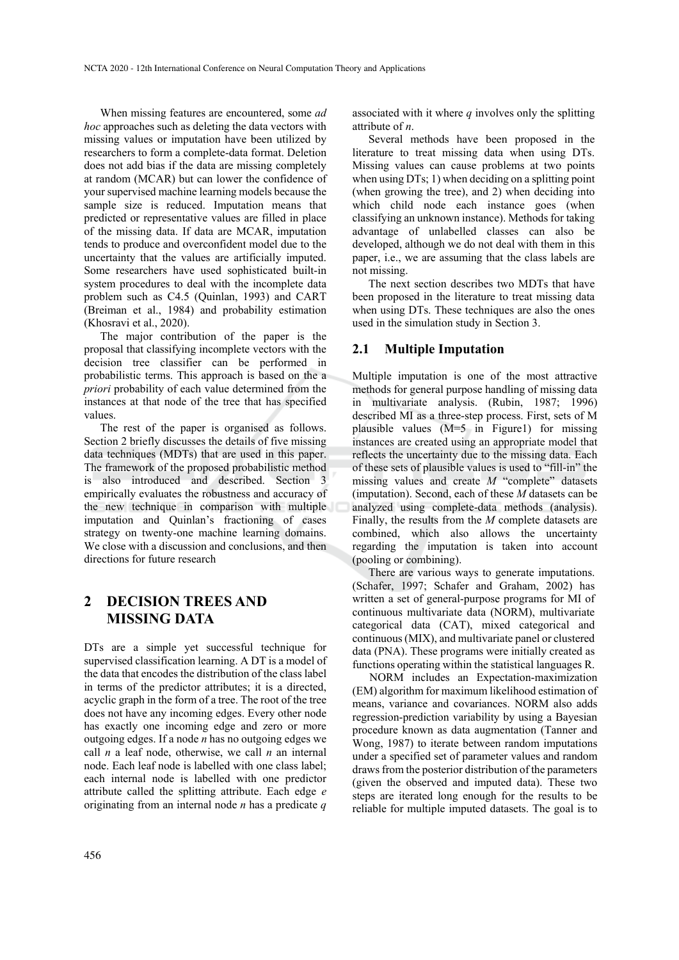When missing features are encountered, some *ad hoc* approaches such as deleting the data vectors with missing values or imputation have been utilized by researchers to form a complete-data format. Deletion does not add bias if the data are missing completely at random (MCAR) but can lower the confidence of your supervised machine learning models because the sample size is reduced. Imputation means that predicted or representative values are filled in place of the missing data. If data are MCAR, imputation tends to produce and overconfident model due to the uncertainty that the values are artificially imputed. Some researchers have used sophisticated built-in system procedures to deal with the incomplete data problem such as C4.5 (Quinlan, 1993) and CART (Breiman et al., 1984) and probability estimation (Khosravi et al., 2020).

The major contribution of the paper is the proposal that classifying incomplete vectors with the decision tree classifier can be performed in probabilistic terms. This approach is based on the a *priori* probability of each value determined from the instances at that node of the tree that has specified values.

The rest of the paper is organised as follows. Section 2 briefly discusses the details of five missing data techniques (MDTs) that are used in this paper. The framework of the proposed probabilistic method is also introduced and described. Section 3 empirically evaluates the robustness and accuracy of the new technique in comparison with multiple imputation and Quinlan's fractioning of cases strategy on twenty-one machine learning domains. We close with a discussion and conclusions, and then directions for future research

# **2 DECISION TREES AND MISSING DATA**

DTs are a simple yet successful technique for supervised classification learning. A DT is a model of the data that encodes the distribution of the class label in terms of the predictor attributes; it is a directed, acyclic graph in the form of a tree. The root of the tree does not have any incoming edges. Every other node has exactly one incoming edge and zero or more outgoing edges. If a node *n* has no outgoing edges we call *n* a leaf node, otherwise, we call *n* an internal node. Each leaf node is labelled with one class label; each internal node is labelled with one predictor attribute called the splitting attribute. Each edge *e* originating from an internal node *n* has a predicate *q* associated with it where *q* involves only the splitting attribute of *n*.

Several methods have been proposed in the literature to treat missing data when using DTs. Missing values can cause problems at two points when using DTs; 1) when deciding on a splitting point (when growing the tree), and 2) when deciding into which child node each instance goes (when classifying an unknown instance). Methods for taking advantage of unlabelled classes can also be developed, although we do not deal with them in this paper, i.e., we are assuming that the class labels are not missing.

The next section describes two MDTs that have been proposed in the literature to treat missing data when using DTs. These techniques are also the ones used in the simulation study in Section 3.

#### **2.1 Multiple Imputation**

Multiple imputation is one of the most attractive methods for general purpose handling of missing data in multivariate analysis. (Rubin, 1987; 1996) described MI as a three-step process. First, sets of M plausible values (M=5 in Figure1) for missing instances are created using an appropriate model that reflects the uncertainty due to the missing data. Each of these sets of plausible values is used to "fill-in" the missing values and create *M* "complete" datasets (imputation). Second, each of these *M* datasets can be analyzed using complete-data methods (analysis). Finally, the results from the *M* complete datasets are combined, which also allows the uncertainty regarding the imputation is taken into account (pooling or combining).

There are various ways to generate imputations. (Schafer, 1997; Schafer and Graham, 2002) has written a set of general-purpose programs for MI of continuous multivariate data (NORM), multivariate categorical data (CAT), mixed categorical and continuous (MIX), and multivariate panel or clustered data (PNA). These programs were initially created as functions operating within the statistical languages R.

NORM includes an Expectation-maximization (EM) algorithm for maximum likelihood estimation of means, variance and covariances. NORM also adds regression-prediction variability by using a Bayesian procedure known as data augmentation (Tanner and Wong, 1987) to iterate between random imputations under a specified set of parameter values and random draws from the posterior distribution of the parameters (given the observed and imputed data). These two steps are iterated long enough for the results to be reliable for multiple imputed datasets. The goal is to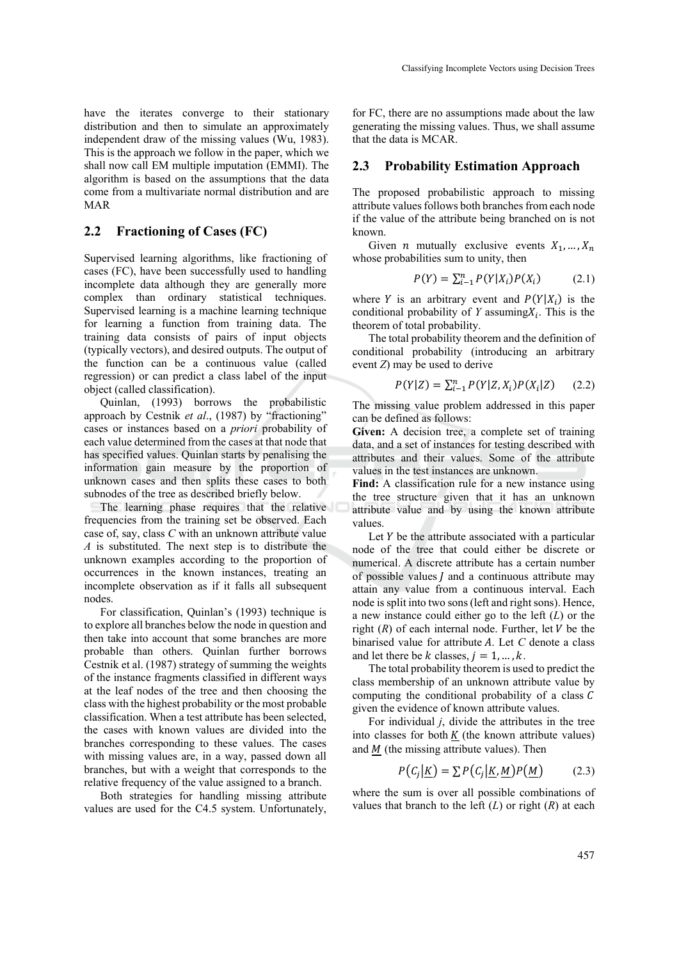have the iterates converge to their stationary distribution and then to simulate an approximately independent draw of the missing values (Wu, 1983). This is the approach we follow in the paper, which we shall now call EM multiple imputation (EMMI). The algorithm is based on the assumptions that the data come from a multivariate normal distribution and are MAR

### **2.2 Fractioning of Cases (FC)**

Supervised learning algorithms, like fractioning of cases (FC), have been successfully used to handling incomplete data although they are generally more complex than ordinary statistical techniques. Supervised learning is a machine learning technique for learning a function from training data. The training data consists of pairs of input objects (typically vectors), and desired outputs. The output of the function can be a continuous value (called regression) or can predict a class label of the input object (called classification).

Quinlan, (1993) borrows the probabilistic approach by Cestnik *et al*., (1987) by "fractioning" cases or instances based on a *priori* probability of each value determined from the cases at that node that has specified values. Quinlan starts by penalising the information gain measure by the proportion of unknown cases and then splits these cases to both subnodes of the tree as described briefly below.

The learning phase requires that the relative frequencies from the training set be observed. Each case of, say, class *C* with an unknown attribute value *A* is substituted. The next step is to distribute the unknown examples according to the proportion of occurrences in the known instances, treating an incomplete observation as if it falls all subsequent nodes.

For classification, Quinlan's (1993) technique is to explore all branches below the node in question and then take into account that some branches are more probable than others. Quinlan further borrows Cestnik et al. (1987) strategy of summing the weights of the instance fragments classified in different ways at the leaf nodes of the tree and then choosing the class with the highest probability or the most probable classification. When a test attribute has been selected, the cases with known values are divided into the branches corresponding to these values. The cases with missing values are, in a way, passed down all branches, but with a weight that corresponds to the relative frequency of the value assigned to a branch.

Both strategies for handling missing attribute values are used for the C4.5 system. Unfortunately,

for FC, there are no assumptions made about the law generating the missing values. Thus, we shall assume that the data is MCAR.

#### **2.3 Probability Estimation Approach**

The proposed probabilistic approach to missing attribute values follows both branches from each node if the value of the attribute being branched on is not known.

Given *n* mutually exclusive events  $X_1, \ldots, X_n$ whose probabilities sum to unity, then

$$
P(Y) = \sum_{i=1}^{n} P(Y|X_i)P(X_i)
$$
 (2.1)

where Y is an arbitrary event and  $P(Y|X_i)$  is the conditional probability of  $Y$  assuming $X_i$ . This is the theorem of total probability.

The total probability theorem and the definition of conditional probability (introducing an arbitrary event *Z*) may be used to derive

$$
P(Y|Z) = \sum_{i=1}^{n} P(Y|Z, X_i) P(X_i|Z) \qquad (2.2)
$$

The missing value problem addressed in this paper can be defined as follows:

**Given:** A decision tree, a complete set of training data, and a set of instances for testing described with attributes and their values. Some of the attribute values in the test instances are unknown.

**Find:** A classification rule for a new instance using the tree structure given that it has an unknown attribute value and by using the known attribute values.

Let  $Y$  be the attribute associated with a particular node of the tree that could either be discrete or numerical. A discrete attribute has a certain number of possible values  *and a continuous attribute may* attain any value from a continuous interval. Each node is split into two sons (left and right sons). Hence, a new instance could either go to the left (*L*) or the right  $(R)$  of each internal node. Further, let  $V$  be the binarised value for attribute  $A$ . Let  $C$  denote a class and let there be k classes,  $j = 1, ..., k$ .

The total probability theorem is used to predict the class membership of an unknown attribute value by computing the conditional probability of a class  $\mathcal C$ given the evidence of known attribute values.

For individual *j*, divide the attributes in the tree into classes for both  $K$  (the known attribute values) and  $M$  (the missing attribute values). Then

$$
P(C_j | K) = \sum P(C_j | K, M) P(M) \tag{2.3}
$$

where the sum is over all possible combinations of values that branch to the left  $(L)$  or right  $(R)$  at each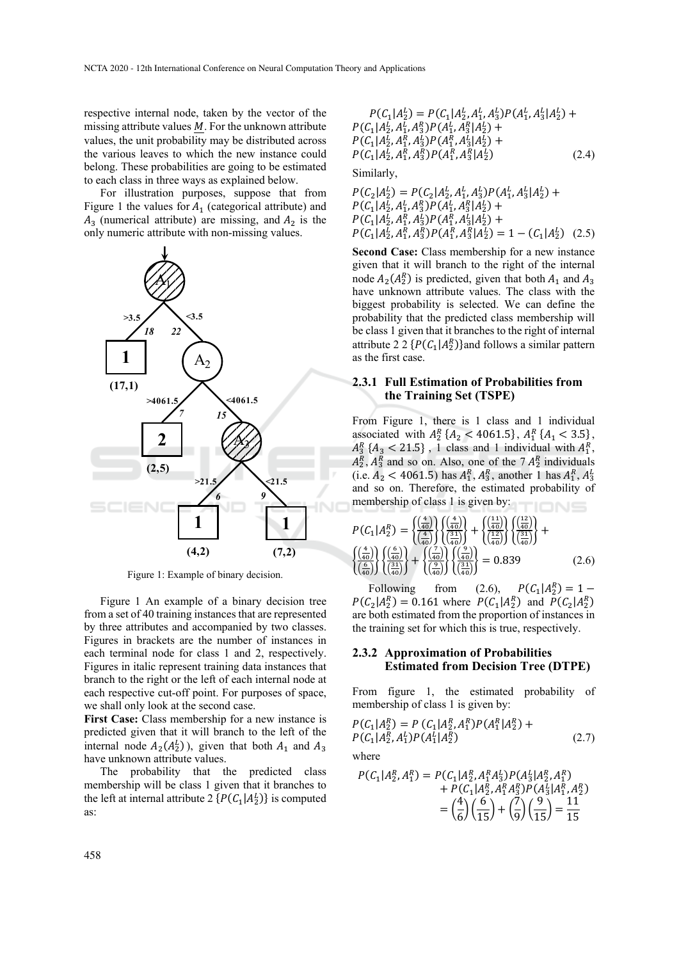respective internal node, taken by the vector of the missing attribute values  $M$ . For the unknown attribute values, the unit probability may be distributed across the various leaves to which the new instance could belong. These probabilities are going to be estimated to each class in three ways as explained below.

For illustration purposes, suppose that from Figure 1 the values for  $A_1$  (categorical attribute) and  $A_3$  (numerical attribute) are missing, and  $A_2$  is the only numeric attribute with non-missing values.



Figure 1: Example of binary decision.

Figure 1 An example of a binary decision tree from a set of 40 training instances that are represented by three attributes and accompanied by two classes. Figures in brackets are the number of instances in each terminal node for class 1 and 2, respectively. Figures in italic represent training data instances that branch to the right or the left of each internal node at each respective cut-off point. For purposes of space, we shall only look at the second case.

**First Case:** Class membership for a new instance is predicted given that it will branch to the left of the internal node  $A_2(A_2^L)$ , given that both  $A_1$  and  $A_3$ have unknown attribute values.

The probability that the predicted class membership will be class 1 given that it branches to the left at internal attribute 2  $\{P(C_1|A_2^L)\}\)$  is computed as:

$$
P(C_1|A_2^L) = P(C_1|A_2^L, A_1^L, A_3^L)P(A_1^L, A_3^L|A_2^L) + P(C_1|A_2^L, A_1^R, A_3^R)P(A_1^L, A_3^R|A_2^L) + P(C_1|A_2^L, A_1^R, A_3^L)P(A_1^R, A_3^L|A_2^L) + P(C_1|A_2^L, A_1^R, A_3^R)P(A_1^R, A_3^R|A_2^L)
$$
\nSimilarly,

\n(2.4)

$$
P(C_2|A_2^L) = P(C_2|A_2^L, A_1^L, A_3^L)P(A_1^L, A_3^L|A_2^L) + P(C_1|A_2^L, A_1^R, A_3^R)P(A_1^L, A_3^R|A_2^L) + P(C_1|A_2^L, A_1^R, A_3^L)P(A_1^R, A_3^L|A_2^L) + P(C_1|A_2^L, A_1^R, A_3^R)P(A_1^R, A_3^R|A_2^L) = 1 - (C_1|A_2^L)
$$
 (2.5)

**Second Case:** Class membership for a new instance given that it will branch to the right of the internal node  $A_2(A_2^R)$  is predicted, given that both  $A_1$  and  $A_3$ have unknown attribute values. The class with the biggest probability is selected. We can define the probability that the predicted class membership will be class 1 given that it branches to the right of internal attribute 2 2  $\{P(C_1|A_2^R)\}$ and follows a similar pattern as the first case.

#### **2.3.1 Full Estimation of Probabilities from the Training Set (TSPE)**

From Figure 1, there is 1 class and 1 individual associated with  $A_2^R$  { $A_2$  < 4061.5},  $A_1^R$  { $A_1$  < 3.5},  $A_3^R$  { $A_3$  < 21.5}, 1 class and 1 individual with  $A_1^R$ ,  $A_2^R$ ,  $A_3^R$  and so on. Also, one of the 7  $A_2^R$  individuals (i.e.  $A_2$  < 4061.5) has  $A_1^R$ ,  $A_3^R$ , another 1 has  $A_1^R$ ,  $A_3^L$ and so on. Therefore, the estimated probability of membership of class 1 is given by:

$$
P(C_1|A_2^R) = \frac{\left(\frac{4}{40}\right)}{\left(\frac{4}{40}\right)} \left\{ \frac{\left(\frac{4}{40}\right)}{\left(\frac{31}{40}\right)} \right\} + \frac{\left(\frac{11}{40}\right)}{\left(\frac{12}{40}\right)} \left\{ \frac{\left(\frac{2}{40}\right)}{\left(\frac{31}{40}\right)} \right\} + \frac{\left(\frac{4}{40}\right)}{\left(\frac{31}{40}\right)} \left\{ \frac{\left(\frac{4}{40}\right)}{\left(\frac{4}{40}\right)} \right\} \left(\frac{\left(\frac{6}{40}\right)}{\left(\frac{31}{40}\right)} \right\} + \frac{\left(\frac{7}{40}\right)}{\left(\frac{31}{40}\right)} \left\{ \frac{\left(\frac{9}{40}\right)}{\left(\frac{31}{40}\right)} \right\} = 0.839 \tag{2.6}
$$

Following from (2.6),  $P(C_1|A_2^R) = 1 P(C_2|A_2^R) = 0.161$  where  $P(C_1|A_2^R)$  and  $P(C_2|A_2^R)$ are both estimated from the proportion of instances in the training set for which this is true, respectively.

#### **2.3.2 Approximation of Probabilities Estimated from Decision Tree (DTPE)**

From figure 1, the estimated probability of membership of class 1 is given by:

$$
P(C_1|A_2^R) = P(C_1|A_2^R, A_1^R)P(A_1^R|A_2^R) + P(C_1|A_2^R, A_1^L)P(A_1^L|A_2^R)
$$
\n(2.7)

where

$$
P(C_1|A_2^R, A_1^R) = P(C_1|A_2^R, A_1^R A_3^L) P(A_3^L|A_2^R, A_1^R) + P(C_1|A_2^R, A_1^R A_3^R) P(A_3^L|A_1^R, A_2^R) = \left(\frac{4}{6}\right) \left(\frac{6}{15}\right) + \left(\frac{7}{9}\right) \left(\frac{9}{15}\right) = \frac{11}{15}
$$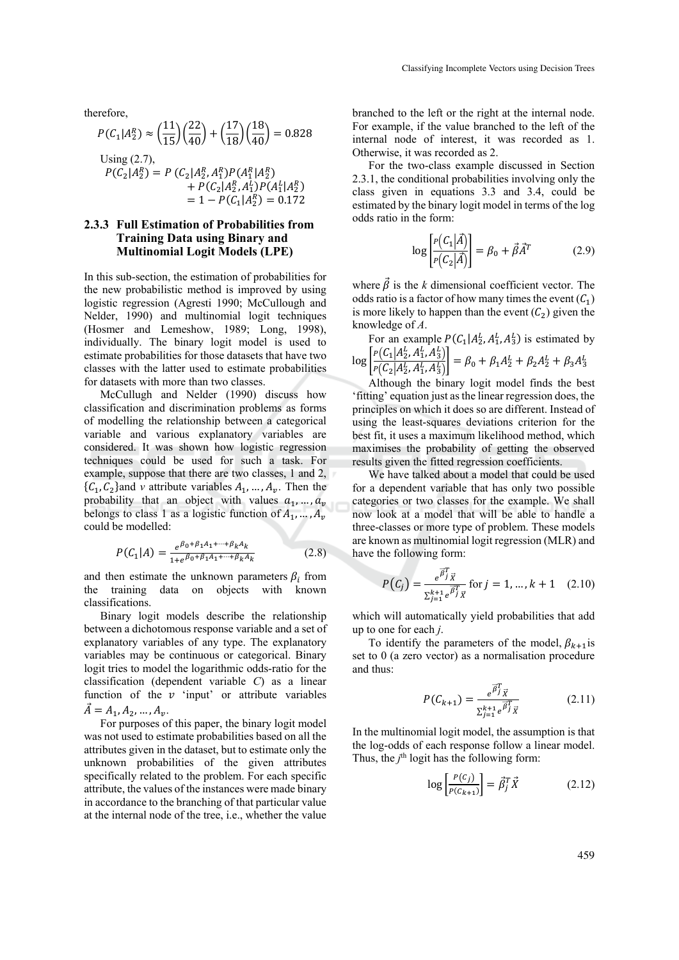therefore,

$$
P(C_1|A_2^R) \approx \left(\frac{11}{15}\right)\left(\frac{22}{40}\right) + \left(\frac{17}{18}\right)\left(\frac{18}{40}\right) = 0.828
$$
  
Using (2.7),  

$$
P(C_2|A_2^R) = P(C_2|A_2^R, A_1^R)P(A_1^R|A_2^R)
$$

$$
+ P(C_2|A_2^R, A_1^L)P(A_1^L|A_2^R)
$$

$$
= 1 - P(C_1|A_2^R) = 0.172
$$

#### **2.3.3 Full Estimation of Probabilities from Training Data using Binary and Multinomial Logit Models (LPE)**

In this sub-section, the estimation of probabilities for the new probabilistic method is improved by using logistic regression (Agresti 1990; McCullough and Nelder, 1990) and multinomial logit techniques (Hosmer and Lemeshow, 1989; Long, 1998), individually. The binary logit model is used to estimate probabilities for those datasets that have two classes with the latter used to estimate probabilities for datasets with more than two classes.

McCullugh and Nelder (1990) discuss how classification and discrimination problems as forms of modelling the relationship between a categorical variable and various explanatory variables are considered. It was shown how logistic regression techniques could be used for such a task. For example, suppose that there are two classes, 1 and 2,  $\{C_1, C_2\}$  and *v* attribute variables  $A_1, ..., A_\nu$ . Then the probability that an object with values  $a_1, \ldots, a_v$ belongs to class 1 as a logistic function of  $A_1, ..., A_n$ could be modelled:

$$
P(C_1|A) = \frac{e^{\beta_0 + \beta_1 A_1 + \dots + \beta_k A_k}}{1 + e^{\beta_0 + \beta_1 A_1 + \dots + \beta_k A_k}}
$$
(2.8)

and then estimate the unknown parameters  $\beta_i$  from<br>the training data on objects with known data on objects with known classifications.

Binary logit models describe the relationship between a dichotomous response variable and a set of explanatory variables of any type. The explanatory variables may be continuous or categorical. Binary logit tries to model the logarithmic odds-ratio for the classification (dependent variable *C*) as a linear function of the  $v$  'input' or attribute variables  $\vec{A} = A_1, A_2, ..., A_v.$ 

For purposes of this paper, the binary logit model was not used to estimate probabilities based on all the attributes given in the dataset, but to estimate only the unknown probabilities of the given attributes specifically related to the problem. For each specific attribute, the values of the instances were made binary in accordance to the branching of that particular value at the internal node of the tree, i.e., whether the value

branched to the left or the right at the internal node. For example, if the value branched to the left of the internal node of interest, it was recorded as 1. Otherwise, it was recorded as 2.

For the two-class example discussed in Section 2.3.1, the conditional probabilities involving only the class given in equations 3.3 and 3.4, could be estimated by the binary logit model in terms of the log odds ratio in the form:

$$
\log \left[ \frac{P(C_1 | \vec{A})}{P(C_2 | \vec{A})} \right] = \beta_0 + \vec{\beta} \vec{A}^T \tag{2.9}
$$

where  $\vec{\beta}$  is the *k* dimensional coefficient vector. The odds ratio is a factor of how many times the event  $(C_1)$ is more likely to happen than the event  $(C_2)$  given the knowledge of *A*.

For an example  $P(C_1|A_2^L, A_1^L, A_3^L)$  is estimated by  $\log \left[ \frac{P(C_1|A_2^L, A_1^L, A_3^L)}{C_1(A_1^L, A_2^L, A_3^L)} \right]$  $\frac{F(S_1|A_2, A_1, A_3)}{F(C_2|A_2^L, A_1^L, A_3^L)} = \beta_0 + \beta_1 A_2^L + \beta_2 A_2^L + \beta_3 A_3^L$ 

Although the binary logit model finds the best 'fitting' equation just as the linear regression does, the principles on which it does so are different. Instead of using the least-squares deviations criterion for the best fit, it uses a maximum likelihood method, which maximises the probability of getting the observed results given the fitted regression coefficients.

We have talked about a model that could be used for a dependent variable that has only two possible categories or two classes for the example. We shall now look at a model that will be able to handle a three-classes or more type of problem. These models are known as multinomial logit regression (MLR) and have the following form:

$$
P(C_j) = \frac{e^{\overline{\beta}_j^T} \overline{x}}{\sum_{j=1}^{k+1} e^{\overline{\beta}_j^T} \overline{x}} \text{ for } j = 1, \dots, k+1 \quad (2.10)
$$

which will automatically yield probabilities that add up to one for each *j*.

To identify the parameters of the model,  $\beta_{k+1}$  is set to 0 (a zero vector) as a normalisation procedure and thus:

$$
P(C_{k+1}) = \frac{e^{\overrightarrow{\beta}_j^T} \overrightarrow{X}}{\sum_{j=1}^{k+1} e^{\overrightarrow{\beta}_j^T} \overrightarrow{X}}
$$
 (2.11)

In the multinomial logit model, the assumption is that the log-odds of each response follow a linear model. Thus, the  $j<sup>th</sup>$  logit has the following form:

$$
\log\left[\frac{P(c_j)}{P(c_{k+1})}\right] = \vec{\beta}_j^T \vec{X} \tag{2.12}
$$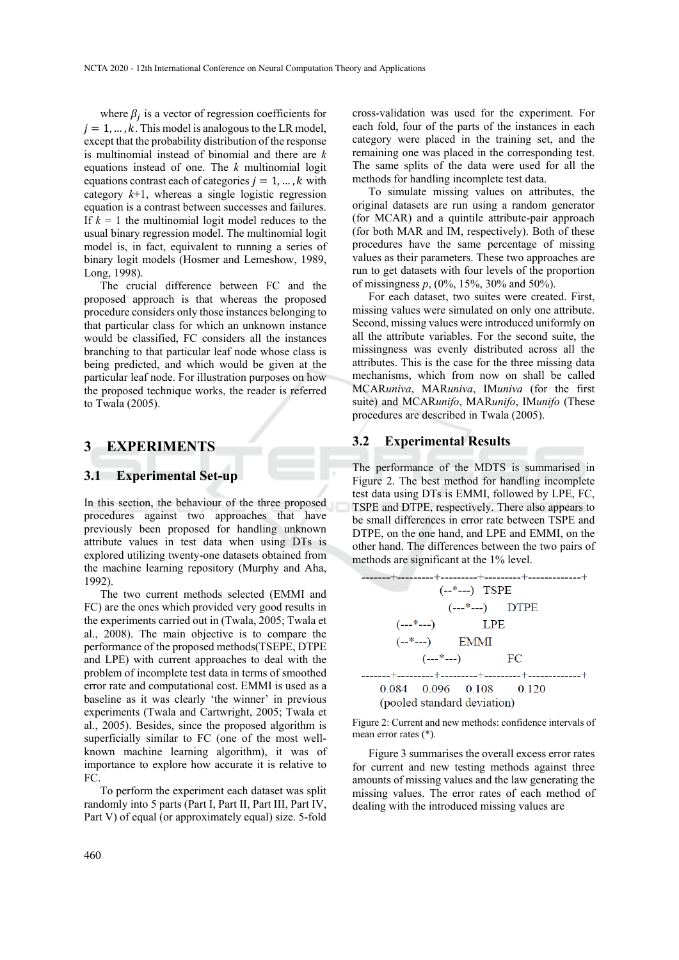where  $\beta_i$  is a vector of regression coefficients for  $i = 1, \dots, k$ . This model is analogous to the LR model, except that the probability distribution of the response is multinomial instead of binomial and there are *k* equations instead of one. The *k* multinomial logit equations contrast each of categories  $j = 1, ..., k$  with category  $k+1$ , whereas a single logistic regression equation is a contrast between successes and failures. If  $k = 1$  the multinomial logit model reduces to the usual binary regression model. The multinomial logit model is, in fact, equivalent to running a series of binary logit models (Hosmer and Lemeshow, 1989, Long, 1998).

The crucial difference between FC and the proposed approach is that whereas the proposed procedure considers only those instances belonging to that particular class for which an unknown instance would be classified, FC considers all the instances branching to that particular leaf node whose class is being predicted, and which would be given at the particular leaf node. For illustration purposes on how the proposed technique works, the reader is referred to Twala (2005).

## **3 EXPERIMENTS**

### **3.1 Experimental Set-up**

In this section, the behaviour of the three proposed procedures against two approaches that have previously been proposed for handling unknown attribute values in test data when using DTs is explored utilizing twenty-one datasets obtained from the machine learning repository (Murphy and Aha, 1992).

The two current methods selected (EMMI and FC) are the ones which provided very good results in the experiments carried out in (Twala, 2005; Twala et al., 2008). The main objective is to compare the performance of the proposed methods(TSEPE, DTPE and LPE) with current approaches to deal with the problem of incomplete test data in terms of smoothed error rate and computational cost. EMMI is used as a baseline as it was clearly 'the winner' in previous experiments (Twala and Cartwright, 2005; Twala et al., 2005). Besides, since the proposed algorithm is superficially similar to FC (one of the most wellknown machine learning algorithm), it was of importance to explore how accurate it is relative to FC.

To perform the experiment each dataset was split randomly into 5 parts (Part I, Part II, Part III, Part IV, Part V) of equal (or approximately equal) size. 5-fold

cross-validation was used for the experiment. For each fold, four of the parts of the instances in each category were placed in the training set, and the remaining one was placed in the corresponding test. The same splits of the data were used for all the methods for handling incomplete test data.

To simulate missing values on attributes, the original datasets are run using a random generator (for MCAR) and a quintile attribute-pair approach (for both MAR and IM, respectively). Both of these procedures have the same percentage of missing values as their parameters. These two approaches are run to get datasets with four levels of the proportion of missingness *p*, (0%, 15%, 30% and 50%).

For each dataset, two suites were created. First, missing values were simulated on only one attribute. Second, missing values were introduced uniformly on all the attribute variables. For the second suite, the missingness was evenly distributed across all the attributes. This is the case for the three missing data mechanisms, which from now on shall be called MCAR*univa*, MAR*univa*, IM*univa* (for the first suite) and MCAR*unifo*, MAR*unifo*, IM*unifo* (These procedures are described in Twala (2005).

#### **3.2 Experimental Results**

The performance of the MDTS is summarised in Figure 2. The best method for handling incomplete test data using DTs is EMMI, followed by LPE, FC, TSPE and DTPE, respectively. There also appears to be small differences in error rate between TSPE and DTPE, on the one hand, and LPE and EMMI, on the other hand. The differences between the two pairs of methods are significant at the 1% level.

|             | $(-*)$ TSPE                                            |  |  |
|-------------|--------------------------------------------------------|--|--|
|             | $(- - * - -)$ DTPE                                     |  |  |
|             | $(- - * - -)$ LPE                                      |  |  |
| $(-*)$ EMMI |                                                        |  |  |
|             | $(- - * - )$ FC                                        |  |  |
|             |                                                        |  |  |
|             | 0.084 0.096 0.108 0.120<br>(pooled standard deviation) |  |  |

Figure 2: Current and new methods: confidence intervals of mean error rates (\*).

Figure 3 summarises the overall excess error rates for current and new testing methods against three amounts of missing values and the law generating the missing values. The error rates of each method of dealing with the introduced missing values are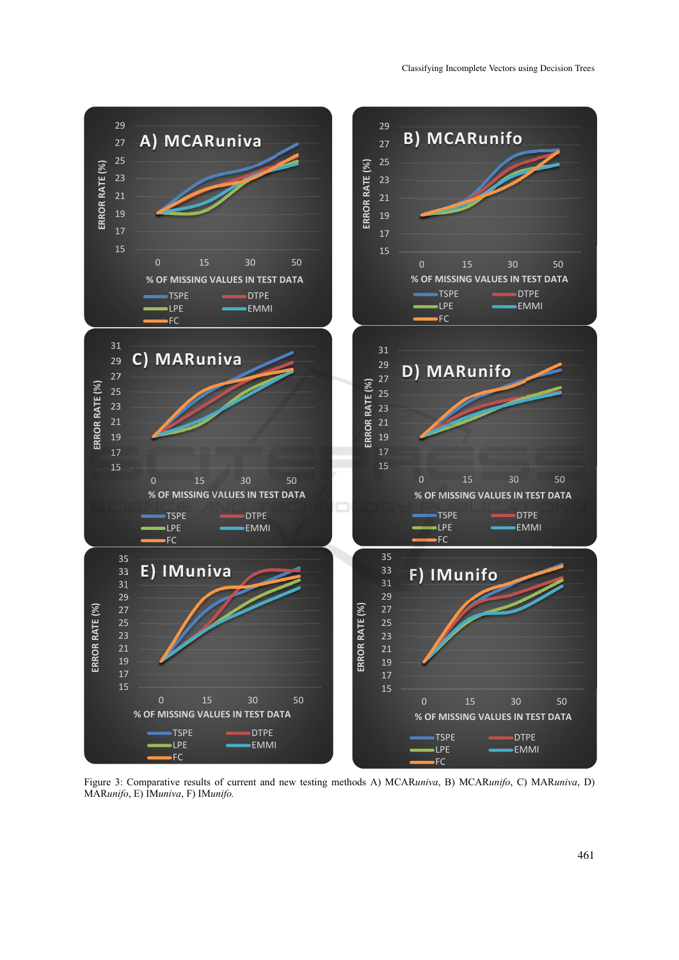

Figure 3: Comparative results of current and new testing methods A) MCAR*univa*, B) MCAR*unifo*, C) MAR*univa*, D) MAR*unifo*, E) IM*univa*, F) IM*unifo.*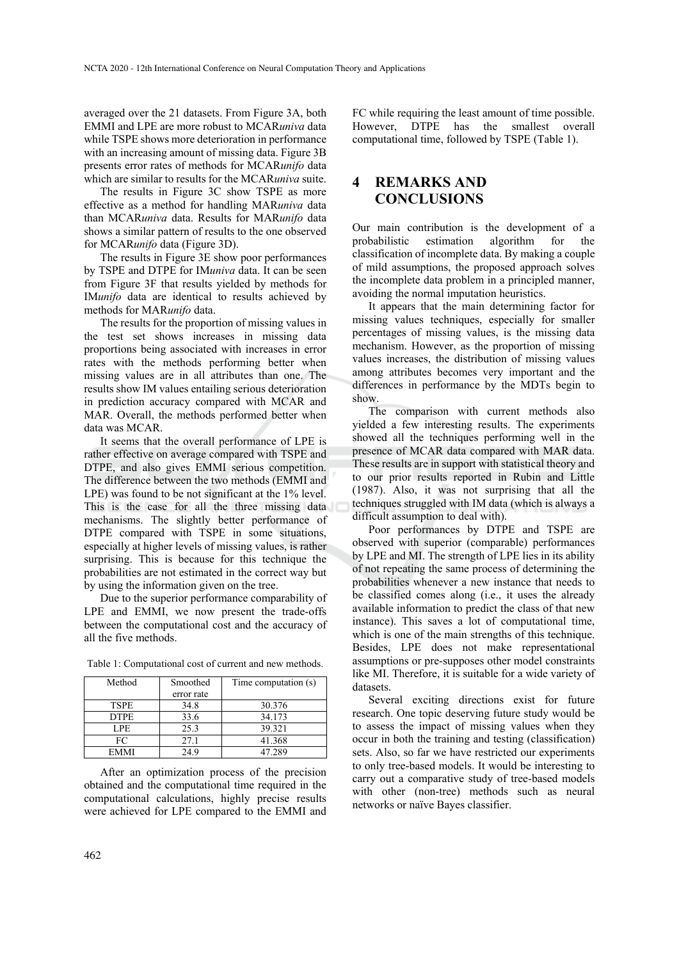averaged over the 21 datasets. From Figure 3A, both EMMI and LPE are more robust to MCAR*univa* data while TSPE shows more deterioration in performance with an increasing amount of missing data. Figure 3B presents error rates of methods for MCAR*unifo* data which are similar to results for the MCAR*univa* suite.

The results in Figure 3C show TSPE as more effective as a method for handling MAR*univa* data than MCAR*univa* data. Results for MAR*unifo* data shows a similar pattern of results to the one observed for MCAR*unifo* data (Figure 3D).

The results in Figure 3E show poor performances by TSPE and DTPE for IM*univa* data. It can be seen from Figure 3F that results yielded by methods for IM*unifo* data are identical to results achieved by methods for MAR*unifo* data.

The results for the proportion of missing values in the test set shows increases in missing data proportions being associated with increases in error rates with the methods performing better when missing values are in all attributes than one. The results show IM values entailing serious deterioration in prediction accuracy compared with MCAR and MAR. Overall, the methods performed better when data was MCAR.

It seems that the overall performance of LPE is rather effective on average compared with TSPE and DTPE, and also gives EMMI serious competition. The difference between the two methods (EMMI and LPE) was found to be not significant at the 1% level. This is the case for all the three missing data mechanisms. The slightly better performance of DTPE compared with TSPE in some situations, especially at higher levels of missing values, is rather surprising. This is because for this technique the probabilities are not estimated in the correct way but by using the information given on the tree.

Due to the superior performance comparability of LPE and EMMI, we now present the trade-offs between the computational cost and the accuracy of all the five methods.

| Method      | Smoothed<br>error rate | Time computation (s) |
|-------------|------------------------|----------------------|
| <b>TSPE</b> | 34.8                   | 30.376               |
| <b>DTPE</b> | 33.6                   | 34.173               |
| LPE         | 25.3                   | 39.321               |
| FC          | 27.1                   | 41.368               |
| <b>FMMI</b> | 24 Q                   | 47.289               |

Table 1: Computational cost of current and new methods.

After an optimization process of the precision obtained and the computational time required in the computational calculations, highly precise results were achieved for LPE compared to the EMMI and

FC while requiring the least amount of time possible. However, DTPE has the smallest overall computational time, followed by TSPE (Table 1).

# **4 REMARKS AND CONCLUSIONS**

Our main contribution is the development of a probabilistic estimation algorithm for the classification of incomplete data. By making a couple of mild assumptions, the proposed approach solves the incomplete data problem in a principled manner, avoiding the normal imputation heuristics.

It appears that the main determining factor for missing values techniques, especially for smaller percentages of missing values, is the missing data mechanism. However, as the proportion of missing values increases, the distribution of missing values among attributes becomes very important and the differences in performance by the MDTs begin to show.

The comparison with current methods also yielded a few interesting results. The experiments showed all the techniques performing well in the presence of MCAR data compared with MAR data. These results are in support with statistical theory and to our prior results reported in Rubin and Little (1987). Also, it was not surprising that all the techniques struggled with IM data (which is always a difficult assumption to deal with).

Poor performances by DTPE and TSPE are observed with superior (comparable) performances by LPE and MI. The strength of LPE lies in its ability of not repeating the same process of determining the probabilities whenever a new instance that needs to be classified comes along (i.e., it uses the already available information to predict the class of that new instance). This saves a lot of computational time, which is one of the main strengths of this technique. Besides, LPE does not make representational assumptions or pre-supposes other model constraints like MI. Therefore, it is suitable for a wide variety of datasets.

Several exciting directions exist for future research. One topic deserving future study would be to assess the impact of missing values when they occur in both the training and testing (classification) sets. Also, so far we have restricted our experiments to only tree-based models. It would be interesting to carry out a comparative study of tree-based models with other (non-tree) methods such as neural networks or naïve Bayes classifier.